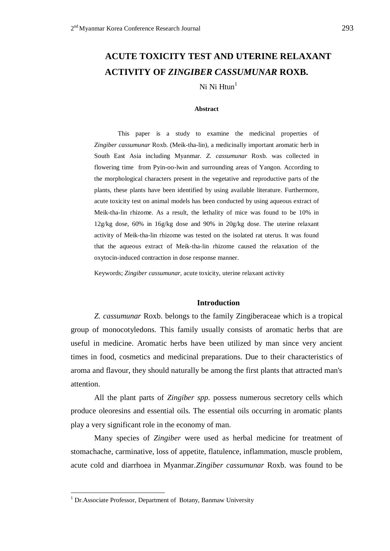# **ACUTE TOXICITY TEST AND UTERINE RELAXANT ACTIVITY OF** *ZINGIBER CASSUMUNAR* **ROXB.**

Ni Ni  $H<sup>1</sup>$ 

#### **Abstract**

This paper is a study to examine the medicinal properties of *Zingiber cassumunar* Roxb. (Meik-tha-lin), a medicinally important aromatic herb in South East Asia including Myanmar. *Z. cassumunar* Roxb. was collected in flowering time from Pyin-oo-lwin and surrounding areas of Yangon. According to the morphological characters present in the vegetative and reproductive parts of the plants, these plants have been identified by using available literature. Furthermore, acute toxicity test on animal models has been conducted by using aqueous extract of Meik-tha-lin rhizome. As a result, the lethality of mice was found to be 10% in 12g/kg dose, 60% in 16g/kg dose and 90% in 20g/kg dose. The uterine relaxant activity of Meik-tha-lin rhizome was tested on the isolated rat uterus. It was found that the aqueous extract of Meik-tha-lin rhizome caused the relaxation of the oxytocin-induced contraction in dose response manner.

Keywords; *Zingiber cassumunar*, acute toxicity, uterine relaxant activity

#### **Introduction**

*Z. cassumunar* Roxb. belongs to the family Zingiberaceae which is a tropical group of monocotyledons. This family usually consists of aromatic herbs that are useful in medicine. Aromatic herbs have been utilized by man since very ancient times in food, cosmetics and medicinal preparations. Due to their characteristics of aroma and flavour, they should naturally be among the first plants that attracted man's attention.

All the plant parts of *Zingiber spp*. possess numerous secretory cells which produce oleoresins and essential oils. The essential oils occurring in aromatic plants play a very significant role in the economy of man.

Many species of *Zingiber* were used as herbal medicine for treatment of stomachache, carminative, loss of appetite, flatulence, inflammation, muscle problem, acute cold and diarrhoea in Myanmar.*Zingiber cassumunar* Roxb. was found to be

<u>.</u>

<sup>&</sup>lt;sup>1</sup> Dr. Associate Professor, Department of Botany, Banmaw University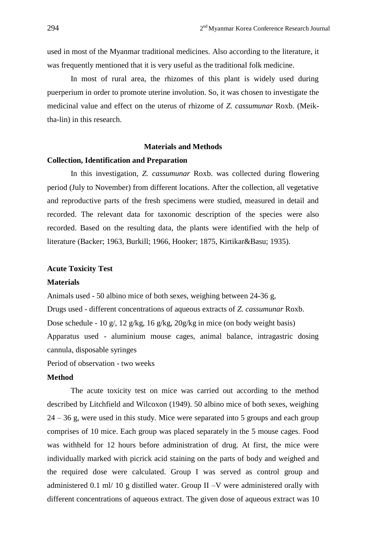used in most of the Myanmar traditional medicines. Also according to the literature, it was frequently mentioned that it is very useful as the traditional folk medicine.

In most of rural area, the rhizomes of this plant is widely used during puerperium in order to promote uterine involution. So, it was chosen to investigate the medicinal value and effect on the uterus of rhizome of *Z. cassumunar* Roxb. (Meiktha-lin) in this research.

#### **Materials and Methods**

## **Collection, Identification and Preparation**

In this investigation, *Z. cassumunar* Roxb. was collected during flowering period (July to November) from different locations. After the collection, all vegetative and reproductive parts of the fresh specimens were studied, measured in detail and recorded. The relevant data for taxonomic description of the species were also recorded. Based on the resulting data, the plants were identified with the help of literature (Backer; 1963, Burkill; 1966, Hooker; 1875, Kirtikar&Basu; 1935).

#### **Acute Toxicity Test**

#### **Materials**

Animals used - 50 albino mice of both sexes, weighing between 24-36 g, Drugs used - different concentrations of aqueous extracts of *Z. cassumunar* Roxb. Dose schedule - 10 g/, 12 g/kg, 16 g/kg, 20g/kg in mice (on body weight basis) Apparatus used - aluminium mouse cages, animal balance, intragastric dosing cannula, disposable syringes

Period of observation - two weeks

# **Method**

The acute toxicity test on mice was carried out according to the method described by Litchfield and Wilcoxon (1949). 50 albino mice of both sexes, weighing 24 – 36 g, were used in this study. Mice were separated into 5 groups and each group comprises of 10 mice. Each group was placed separately in the 5 mouse cages. Food was withheld for 12 hours before administration of drug. At first, the mice were individually marked with picrick acid staining on the parts of body and weighed and the required dose were calculated. Group I was served as control group and administered 0.1 ml/ 10 g distilled water. Group II –V were administered orally with different concentrations of aqueous extract. The given dose of aqueous extract was 10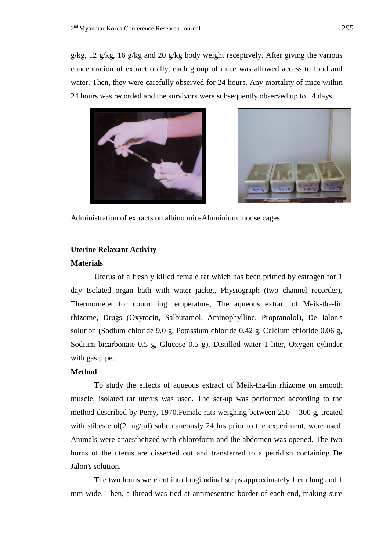g/kg, 12 g/kg, 16 g/kg and 20 g/kg body weight receptively. After giving the various concentration of extract orally, each group of mice was allowed access to food and water. Then, they were carefully observed for 24 hours. Any mortality of mice within 24 hours was recorded and the survivors were subsequently observed up to 14 days.





Administration of extracts on albino miceAluminium mouse cages

# **Uterine Relaxant Activity**

## **Materials**

Uterus of a freshly killed female rat which has been primed by estrogen for 1 day Isolated organ bath with water jacket, Physiograph (two channel recorder), Thermometer for controlling temperature, The aqueous extract of Meik-tha-lin rhizome, Drugs (Oxytocin, Salbutamol, Aminophylline, Propranolol), De Jalon's solution (Sodium chloride 9.0 g, Potassium chloride 0.42 g, Calcium chloride 0.06 g, Sodium bicarbonate 0.5 g, Glucose 0.5 g), Distilled water 1 liter, Oxygen cylinder with gas pipe.

# **Method**

To study the effects of aqueous extract of Meik-tha-lin rhizome on smooth muscle, isolated rat uterus was used. The set-up was performed according to the method described by Perry, 1970.Female rats weighing between 250 – 300 g, treated with stibesterol(2 mg/ml) subcutaneously 24 hrs prior to the experiment, were used. Animals were anaesthetized with chloroform and the abdomen was opened. The two horns of the uterus are dissected out and transferred to a petridish containing De Jalon's solution.

The two horns were cut into longitudinal strips approximately 1 cm long and 1 mm wide. Then, a thread was tied at antimesentric border of each end, making sure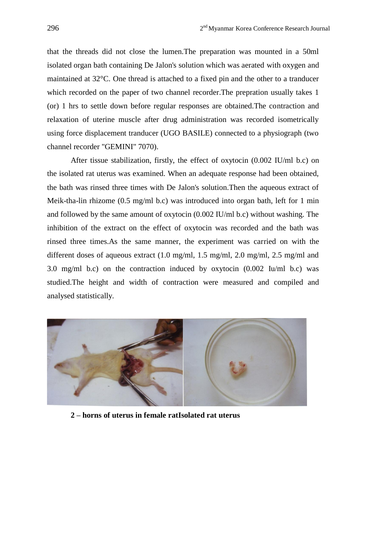that the threads did not close the lumen.The preparation was mounted in a 50ml isolated organ bath containing De Jalon's solution which was aerated with oxygen and maintained at 32°C. One thread is attached to a fixed pin and the other to a tranducer which recorded on the paper of two channel recorder.The prepration usually takes 1 (or) 1 hrs to settle down before regular responses are obtained.The contraction and relaxation of uterine muscle after drug administration was recorded isometrically using force displacement tranducer (UGO BASILE) connected to a physiograph (two channel recorder "GEMINI" 7070).

After tissue stabilization, firstly, the effect of oxytocin (0.002 IU/ml b.c) on the isolated rat uterus was examined. When an adequate response had been obtained, the bath was rinsed three times with De Jalon's solution.Then the aqueous extract of Meik-tha-lin rhizome (0.5 mg/ml b.c) was introduced into organ bath, left for 1 min and followed by the same amount of oxytocin (0.002 IU/ml b.c) without washing. The inhibition of the extract on the effect of oxytocin was recorded and the bath was rinsed three times.As the same manner, the experiment was carried on with the different doses of aqueous extract (1.0 mg/ml, 1.5 mg/ml, 2.0 mg/ml, 2.5 mg/ml and 3.0 mg/ml b.c) on the contraction induced by oxytocin (0.002 Iu/ml b.c) was studied.The height and width of contraction were measured and compiled and analysed statistically.



**2 – horns of uterus in female ratIsolated rat uterus**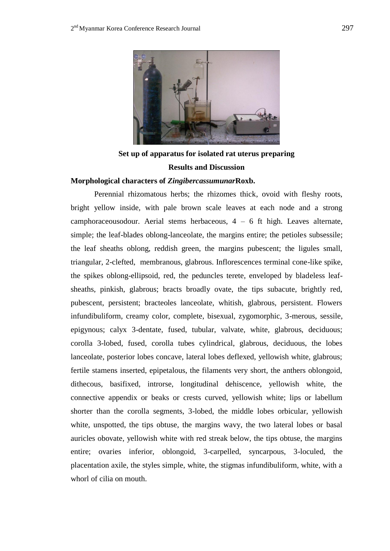

**Set up of apparatus for isolated rat uterus preparing Results and Discussion Morphological characters of** *Zingibercassumunar***Roxb.**

# Perennial rhizomatous herbs; the rhizomes thick, ovoid with fleshy roots,

bright yellow inside, with pale brown scale leaves at each node and a strong camphoraceousodour. Aerial stems herbaceous, 4 – 6 ft high. Leaves alternate, simple; the leaf-blades oblong-lanceolate, the margins entire; the petioles subsessile; the leaf sheaths oblong, reddish green, the margins pubescent; the ligules small, triangular, 2-clefted, membranous, glabrous. Inflorescences terminal cone-like spike, the spikes oblong-ellipsoid, red, the peduncles terete, enveloped by bladeless leafsheaths, pinkish, glabrous; bracts broadly ovate, the tips subacute, brightly red, pubescent, persistent; bracteoles lanceolate, whitish, glabrous, persistent. Flowers infundibuliform, creamy color, complete, bisexual, zygomorphic, 3-merous, sessile, epigynous; calyx 3-dentate, fused, tubular, valvate, white, glabrous, deciduous; corolla 3-lobed, fused, corolla tubes cylindrical, glabrous, deciduous, the lobes lanceolate, posterior lobes concave, lateral lobes deflexed, yellowish white, glabrous; fertile stamens inserted, epipetalous, the filaments very short, the anthers oblongoid, dithecous, basifixed, introrse, longitudinal dehiscence, yellowish white, the connective appendix or beaks or crests curved, yellowish white; lips or labellum shorter than the corolla segments, 3-lobed, the middle lobes orbicular, yellowish white, unspotted, the tips obtuse, the margins wavy, the two lateral lobes or basal auricles obovate, yellowish white with red streak below, the tips obtuse, the margins entire; ovaries inferior, oblongoid, 3-carpelled, syncarpous, 3-loculed, the placentation axile, the styles simple, white, the stigmas infundibuliform, white, with a whorl of cilia on mouth.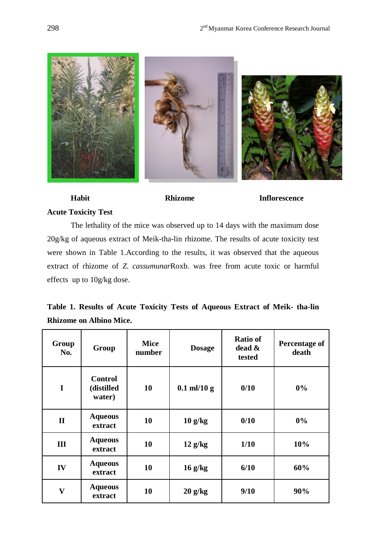

# **Habit Rhizome Inflorescence Acute Toxicity Test**

The lethality of the mice was observed up to 14 days with the maximum dose 20g/kg of aqueous extract of Meik-tha-lin rhizome. The results of acute toxicity test were shown in Table 1.According to the results, it was observed that the aqueous extract of rhizome of *Z. cassumunar*Roxb. was free from acute toxic or harmful effects up to 10g/kg dose.

|  |                                |  |  | Table 1. Results of Acute Toxicity Tests of Aqueous Extract of Meik- tha-lin |  |  |
|--|--------------------------------|--|--|------------------------------------------------------------------------------|--|--|
|  | <b>Rhizome on Albino Mice.</b> |  |  |                                                                              |  |  |

| Group<br>No.            | Group                                  | <b>Mice</b><br>number | <b>Dosage</b> | <b>Ratio of</b><br>dead &<br>tested | Percentage of<br>death |
|-------------------------|----------------------------------------|-----------------------|---------------|-------------------------------------|------------------------|
| $\mathbf I$             | <b>Control</b><br>(distilled<br>water) | 10                    | $0.1$ ml/10 g | 0/10                                | $0\%$                  |
| $\mathbf{I}$            | <b>Aqueous</b><br>extract              | 10                    | $10$ g/kg     | 0/10                                | 0%                     |
| III                     | <b>Aqueous</b><br>extract              | 10                    | $12$ g/kg     | 1/10                                | 10%                    |
| IV                      | <b>Aqueous</b><br>extract              | 10                    | $16$ g/kg     | 6/10                                | 60%                    |
| $\overline{\mathbf{V}}$ | <b>Aqueous</b><br>extract              | 10                    | $20$ g/kg     | 9/10                                | 90%                    |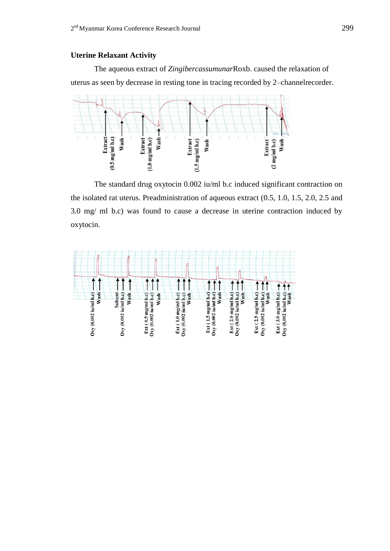# **Uterine Relaxant Activity**

The aqueous extract of *Zingibercassumunar*Roxb. caused the relaxation of uterus as seen by decrease in resting tone in tracing recorded by 2–channelrecorder.



The standard drug oxytocin 0.002 iu/ml b.c induced significant contraction on the isolated rat uterus. Preadministration of aqueous extract (0.5, 1.0, 1.5, 2.0, 2.5 and 3.0 mg/ ml b.c) was found to cause a decrease in uterine contraction induced by oxytocin.

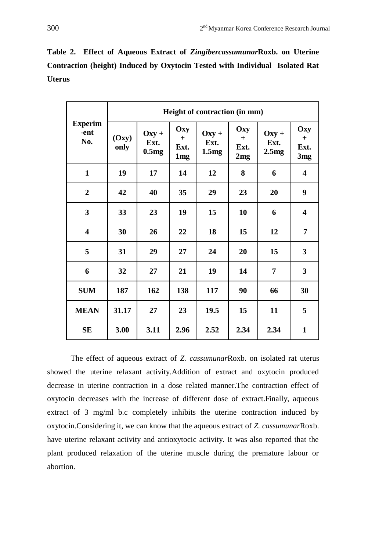**Table 2. Effect of Aqueous Extract of** *Zingibercassumunar***Roxb. on Uterine Contraction (height) Induced by Oxytocin Tested with Individual Isolated Rat Uterus** 

|                               | Height of contraction (in mm) |                          |                                       |                          |                           |                          |                                       |  |  |  |
|-------------------------------|-------------------------------|--------------------------|---------------------------------------|--------------------------|---------------------------|--------------------------|---------------------------------------|--|--|--|
| <b>Experim</b><br>-ent<br>No. | (Oxy)<br>only                 | $Oxy +$<br>Ext.<br>0.5mg | Oxy<br>$+$<br>Ext.<br>1 <sub>mg</sub> | $Oxy +$<br>Ext.<br>1.5mg | Oxy<br>$+$<br>Ext.<br>2mg | $Oxy +$<br>Ext.<br>2.5mg | Oxy<br>$+$<br>Ext.<br>3 <sub>mg</sub> |  |  |  |
| $\mathbf{1}$                  | 19                            | 17                       | 14                                    | 12                       | 8<br>6                    |                          | $\overline{\mathbf{4}}$               |  |  |  |
| $\overline{2}$                | 42                            | 40                       | 35                                    | 29                       | 23                        | 20                       | 9                                     |  |  |  |
| $\overline{\mathbf{3}}$       | 33                            | 23                       | 19                                    | 15                       | 10                        | 6                        | $\overline{\mathbf{4}}$               |  |  |  |
| $\overline{\mathbf{4}}$       | 30                            | 26                       | 22                                    | 18                       | 15                        | 12                       | 7                                     |  |  |  |
| 5                             | 31                            | 29                       | 27                                    | 24                       | 20                        | 15                       | 3                                     |  |  |  |
| 6                             | 32                            | 27                       | 21                                    | 19                       | 14                        | $\overline{7}$           | $\overline{\mathbf{3}}$               |  |  |  |
| <b>SUM</b>                    | 187                           | 162                      | 138                                   | 117                      | 90                        | 66                       | 30                                    |  |  |  |
| <b>MEAN</b>                   | 31.17                         | 27                       | 23                                    | 19.5                     | 15                        | 11                       | 5                                     |  |  |  |
| <b>SE</b>                     | 3.00                          | 3.11                     | 2.96                                  | 2.52                     | 2.34                      | 2.34                     | $\mathbf{1}$                          |  |  |  |

The effect of aqueous extract of *Z. cassumunar*Roxb. on isolated rat uterus showed the uterine relaxant activity.Addition of extract and oxytocin produced decrease in uterine contraction in a dose related manner.The contraction effect of oxytocin decreases with the increase of different dose of extract.Finally, aqueous extract of 3 mg/ml b.c completely inhibits the uterine contraction induced by oxytocin.Considering it, we can know that the aqueous extract of *Z. cassumunar*Roxb. have uterine relaxant activity and antioxytocic activity. It was also reported that the plant produced relaxation of the uterine muscle during the premature labour or abortion.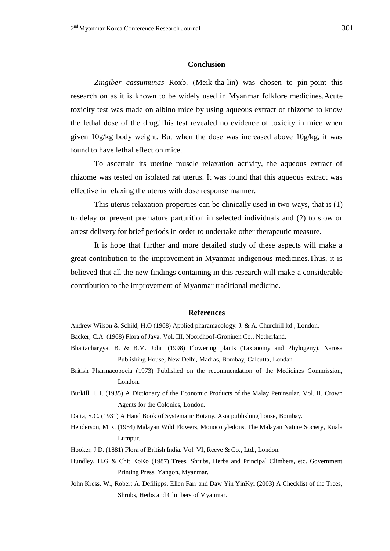#### **Conclusion**

*Zingiber cassumunas* Roxb. (Meik-tha-lin) was chosen to pin-point this research on as it is known to be widely used in Myanmar folklore medicines.Acute toxicity test was made on albino mice by using aqueous extract of rhizome to know the lethal dose of the drug.This test revealed no evidence of toxicity in mice when given 10g/kg body weight. But when the dose was increased above 10g/kg, it was found to have lethal effect on mice.

To ascertain its uterine muscle relaxation activity, the aqueous extract of rhizome was tested on isolated rat uterus. It was found that this aqueous extract was effective in relaxing the uterus with dose response manner.

This uterus relaxation properties can be clinically used in two ways, that is (1) to delay or prevent premature parturition in selected individuals and (2) to slow or arrest delivery for brief periods in order to undertake other therapeutic measure.

It is hope that further and more detailed study of these aspects will make a great contribution to the improvement in Myanmar indigenous medicines.Thus, it is believed that all the new findings containing in this research will make a considerable contribution to the improvement of Myanmar traditional medicine.

### **References**

- Andrew Wilson & Schild, H.O (1968) Applied pharamacology. J. & A. Churchill ltd., London.
- Backer, C.A. (1968) Flora of Java. Vol. III, Noordhoof-Groninen Co., Netherland.
- Bhattacharyya, B. & B.M. Johri (1998) Flowering plants (Taxonomy and Phylogeny). Narosa Publishing House, New Delhi, Madras, Bombay, Calcutta, Londan.
- British Pharmacopoeia (1973) Published on the recommendation of the Medicines Commission, London.
- Burkill, I.H. (1935) A Dictionary of the Economic Products of the Malay Peninsular. Vol. II, Crown Agents for the Colonies, London.
- Datta, S.C. (1931) A Hand Book of Systematic Botany. Asia publishing house, Bombay.
- Henderson, M.R. (1954) Malayan Wild Flowers, Monocotyledons. The Malayan Nature Society, Kuala Lumpur.
- Hooker, J.D. (1881) Flora of British India. Vol. VI, Reeve & Co., Ltd., London.
- Hundley, H.G & Chit KoKo (1987) Trees, Shrubs, Herbs and Principal Climbers, etc. Government Printing Press, Yangon, Myanmar.
- John Kress, W., Robert A. Defilipps, Ellen Farr and Daw Yin YinKyi (2003) A Checklist of the Trees, Shrubs, Herbs and Climbers of Myanmar.